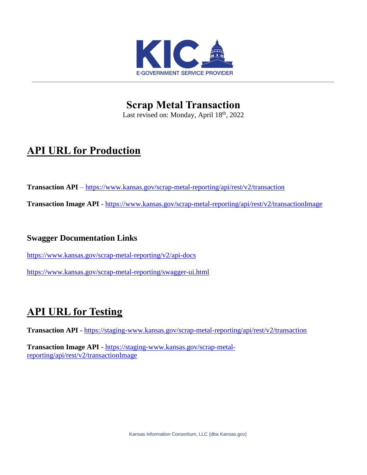

**Scrap Metal Transaction** Last revised on: Monday, April 18<sup>th</sup>, 2022

# **API URL for Production**

**Transaction API** – <https://www.kansas.gov/scrap-metal-reporting/api/rest/v2/transaction>

**Transaction Image API** - <https://www.kansas.gov/scrap-metal-reporting/api/rest/v2/transactionImage>

## **Swagger Documentation Links**

<https://www.kansas.gov/scrap-metal-reporting/v2/api-docs>

<https://www.kansas.gov/scrap-metal-reporting/swagger-ui.html>

# **API URL for Testing**

**Transaction API -** <https://staging-www.kansas.gov/scrap-metal-reporting/api/rest/v2/transaction>

**Transaction Image API -** [https://staging-www.kansas.gov/scrap-metal](https://staging-www.kansas.gov/scrap-metal-reporting/api/rest/v2/transactionImage)[reporting/api/rest/v2/transactionImage](https://staging-www.kansas.gov/scrap-metal-reporting/api/rest/v2/transactionImage)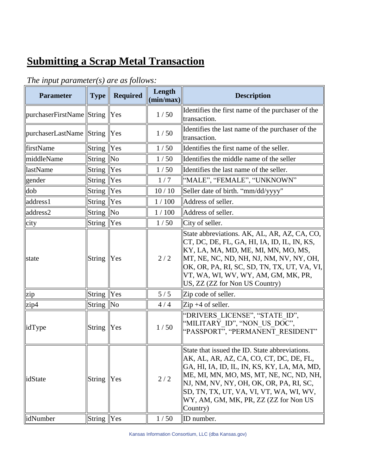# **Submitting a Scrap Metal Transaction**

| <b>Parameter</b>             | <b>Type</b>       | Required   | Length<br>(min/max) | <b>Description</b>                                                                                                                                                                                                                                                                                                             |
|------------------------------|-------------------|------------|---------------------|--------------------------------------------------------------------------------------------------------------------------------------------------------------------------------------------------------------------------------------------------------------------------------------------------------------------------------|
| purchaserFirstName String    |                   | <b>Yes</b> | 1/50                | Identifies the first name of the purchaser of the<br>transaction.                                                                                                                                                                                                                                                              |
| purchaserLastName String Yes |                   |            | 1/50                | Identifies the last name of the purchaser of the<br>transaction.                                                                                                                                                                                                                                                               |
| firstName                    | <b>String</b>     | Yes        | 1/50                | Identifies the first name of the seller.                                                                                                                                                                                                                                                                                       |
| middleName                   | String $\vert$ No |            | 1/50                | Identifies the middle name of the seller                                                                                                                                                                                                                                                                                       |
| lastName                     | String            | Yes        | 1/50                | Identifies the last name of the seller.                                                                                                                                                                                                                                                                                        |
| gender                       | <b>String</b>     | Yes        | 1/7                 | "MALE", "FEMALE", "UNKNOWN"                                                                                                                                                                                                                                                                                                    |
| dob                          | String  Yes       |            | 10/10               | Seller date of birth. "mm/dd/yyyy"                                                                                                                                                                                                                                                                                             |
| address1                     | String            | Yes        | 1/100               | Address of seller.                                                                                                                                                                                                                                                                                                             |
| address2                     | String  No        |            | 1/100               | Address of seller.                                                                                                                                                                                                                                                                                                             |
| city                         | <b>String</b>     | Yes        | 1/50                | City of seller.                                                                                                                                                                                                                                                                                                                |
| state                        | <b>String</b>     | Yes        | 2/2                 | State abbreviations. AK, AL, AR, AZ, CA, CO,<br>CT, DC, DE, FL, GA, HI, IA, ID, IL, IN, KS,<br>KY, LA, MA, MD, ME, MI, MN, MO, MS,<br>MT, NE, NC, ND, NH, NJ, NM, NV, NY, OH,<br> OK, OR, PA, RI, SC, SD, TN, TX, UT, VA, VI,  <br>VT, WA, WI, WV, WY, AM, GM, MK, PR,<br>US, ZZ (ZZ for Non US Country)                       |
| zip                          | String            | Yes        | 5/5                 | Zip code of seller.                                                                                                                                                                                                                                                                                                            |
| zip4                         | String $\ $ No    |            | 4/4                 | $\vert$ Zip +4 of seller.                                                                                                                                                                                                                                                                                                      |
| lidType                      | String  Yes       |            | 1/50                | "DRIVERS LICENSE", "STATE_ID",<br>"MILITARY_ID", "NON_US_DOC",<br>"PASSPORT", "PERMANENT RESIDENT"                                                                                                                                                                                                                             |
| lidState                     | String  Yes       |            | $2/2$               | State that issued the ID. State abbreviations.<br>AK, AL, AR, AZ, CA, CO, CT, DC, DE, FL,<br>GA, HI, IA, ID, IL, IN, KS, KY, LA, MA, MD,<br>ME, MI, MN, MO, MS, MT, NE, NC, ND, NH,<br>NJ, NM, NV, NY, OH, OK, OR, PA, RI, SC,<br>SD, TN, TX, UT, VA, VI, VT, WA, WI, WV,<br>WY, AM, GM, MK, PR, ZZ (ZZ for Non US<br>Country) |
| idNumber                     | String Yes        |            | 1/50                | ID number.                                                                                                                                                                                                                                                                                                                     |

# *The input parameter(s) are as follows:*

Kansas Information Consortium, LLC (dba Kansas.gov)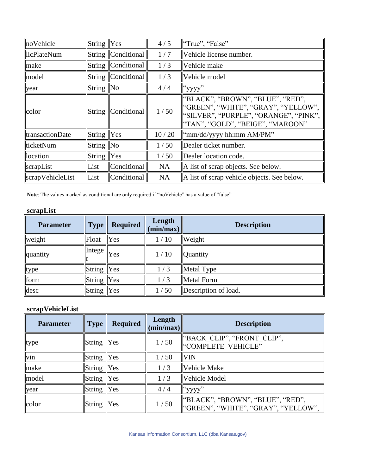| noVehicle                | String $ Yes $ |                        | 4/5       | "True", "False"                                                                                                                                        |
|--------------------------|----------------|------------------------|-----------|--------------------------------------------------------------------------------------------------------------------------------------------------------|
| licPlateNum              | <b>String</b>  | Conditional            | 1/7       | Vehicle license number.                                                                                                                                |
| make                     | <b>String</b>  | Conditional            | 1/3       | Vehicle make                                                                                                                                           |
| model                    | String         | Conditional            | 1/3       | Vehicle model                                                                                                                                          |
| year                     | <b>String</b>  | $\overline{\text{No}}$ | 4/4       | "yyyy"                                                                                                                                                 |
| color                    | String         | Conditional            | 1/50      | "BLACK", "BROWN", "BLUE", "RED",<br>"GREEN", "WHITE", "GRAY", "YELLOW",<br>  "SILVER", "PURPLE", "ORANGE", "PINK",<br>"TAN", "GOLD", "BEIGE", "MAROON" |
| <i>d</i> transactionDate | String Yes     |                        | 10/20     | "mm/dd/yyyy hh:mm AM/PM"                                                                                                                               |
| ticketNum                | String         | $\overline{\text{No}}$ | 1/50      | Dealer ticket number.                                                                                                                                  |
| location                 | <b>String</b>  | Yes                    | 1/50      | Dealer location code.                                                                                                                                  |
| scrapList                | List           | Conditional            | <b>NA</b> | A list of scrap objects. See below.                                                                                                                    |
| scrapVehicleList         | List           | Conditional            | <b>NA</b> | A list of scrap vehicle objects. See below.                                                                                                            |

**Note**: The values marked as conditional are only required if "noVehicle" has a value of "false"

#### **scrapList**

| <b>Parameter</b> | <b>Type</b>   | <b>Required</b> | Length<br>(min/max) | <b>Description</b>   |
|------------------|---------------|-----------------|---------------------|----------------------|
| weight           | Float         | Yes             | 1/10                | Weight               |
| quantity         | Intege        | "Yes            | 1/10                | Quantity             |
| type             | $String$  Yes |                 | 1/3                 | Metal Type           |
| form             | $String$  Yes |                 | 1/3                 | Metal Form           |
| desc             | $String$ Yes  |                 | $\sqrt{50}$         | Description of load. |

#### **scrapVehicleList**

| <b>Parameter</b> | Type                   | <b>Required</b> | Length<br>(min/max) | <b>Description</b>                                                      |
|------------------|------------------------|-----------------|---------------------|-------------------------------------------------------------------------|
| type             | $String$  Yes          |                 | 1/50                | "BACK CLIP", "FRONT CLIP",<br>"COMPLETE VEHICLE"                        |
| vin              | $\vert$ String $\vert$ | Yes             | 1/50                | <b>VIN</b>                                                              |
| make             | $\vert$ String $\vert$ | Yes             | 1/3                 | Vehicle Make                                                            |
| model            | $\sqrt{\text{String}}$ | Yes             | 1/3                 | Vehicle Model                                                           |
| year             | $\vert$ String $\vert$ | Yes             | 4/4                 | "yyyy"                                                                  |
| color            | String                 | Yes             | 1/50                | "BLACK", "BROWN", "BLUE", "RED",<br>"GREEN", "WHITE", "GRAY", "YELLOW", |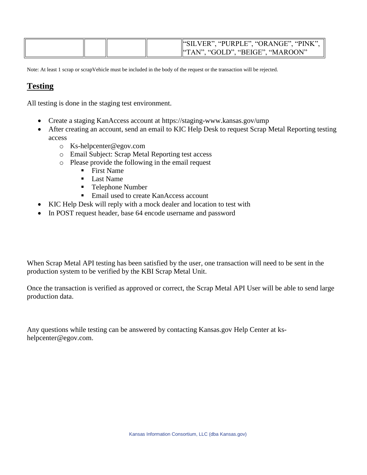|  | "SILVER", "PURPLE", "ORANGE", "PINK", |
|--|---------------------------------------|
|  | ""TAN", "GOLD", "BEIGE", "MAROON"     |

Note: At least 1 scrap or scrapVehicle must be included in the body of the request or the transaction will be rejected.

### **Testing**

All testing is done in the staging test environment.

- Create a staging KanAccess account at<https://staging-www.kansas.gov/ump>
- After creating an account, send an email to KIC Help Desk to request Scrap Metal Reporting testing access
	- o [Ks-helpcenter@egov.com](mailto:Ks-helpcenter@egov.com)
	- o Email Subject: Scrap Metal Reporting test access
	- o Please provide the following in the email request
		- First Name
		- **Last Name**
		- Telephone Number
		- Email used to create KanAccess account
- KIC Help Desk will reply with a mock dealer and location to test with
- In POST request header, base 64 encode username and password

When Scrap Metal API testing has been satisfied by the user, one transaction will need to be sent in the production system to be verified by the KBI Scrap Metal Unit.

Once the transaction is verified as approved or correct, the Scrap Metal API User will be able to send large production data.

Any questions while testing can be answered by contacting Kansas.gov Help Center at [ks](mailto:ks-helpcenter@egov.com)[helpcenter@egov.com.](mailto:ks-helpcenter@egov.com)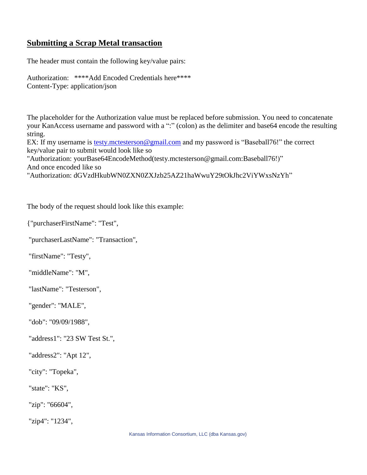## **Submitting a Scrap Metal transaction**

The header must contain the following key/value pairs:

Authorization: \*\*\*\*Add Encoded Credentials here\*\*\*\* Content-Type: application/json

The placeholder for the Authorization value must be replaced before submission. You need to concatenate your KanAccess username and password with a ":" (colon) as the delimiter and base64 encode the resulting string.

EX: If my username is [testy.mctesterson@gmail.com](mailto:testy.mctesterson@gmai.com) and my password is "Baseball76!" the correct key/value pair to submit would look like so

"Authorization: yourBase64EncodeMethod(testy.mctesterson@gmail.com:Baseball76!)" And once encoded like so

"Authorization: dGVzdHkubWN0ZXN0ZXJzb25AZ21haWwuY29tOkJhc2ViYWxsNzYh"

The body of the request should look like this example:

{"purchaserFirstName": "Test",

"purchaserLastName": "Transaction",

"firstName": "Testy",

"middleName": "M",

"lastName": "Testerson",

"gender": "MALE",

"dob": "09/09/1988",

"address1": "23 SW Test St.",

"address2": "Apt 12",

"city": "Topeka",

"state": "KS",

"zip": "66604",

"zip4": "1234",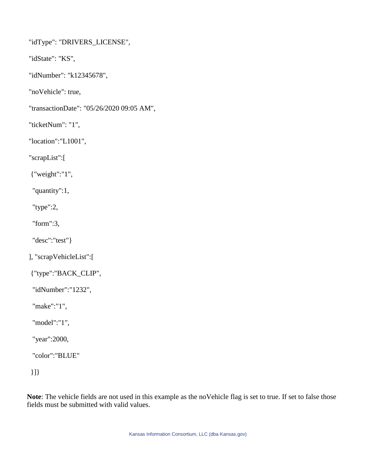"idType": "DRIVERS\_LICENSE",

"idState": "KS",

"idNumber": "k12345678",

"noVehicle": true,

"transactionDate": "05/26/2020 09:05 AM",

"ticketNum": "1",

"location":"L1001",

"scrapList":[

{"weight":"1",

"quantity":1,

"type":2,

"form":3,

"desc":"test"}

], "scrapVehicleList":[

{"type":"BACK\_CLIP",

"idNumber":"1232",

"make":"1",

"model":"1",

"year":2000,

"color":"BLUE"

}]}

**Note**: The vehicle fields are not used in this example as the noVehicle flag is set to true. If set to false those fields must be submitted with valid values.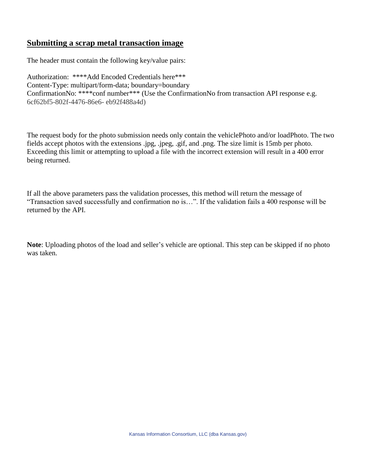#### **Submitting a scrap metal transaction image**

The header must contain the following key/value pairs:

Authorization: \*\*\*\*Add Encoded Credentials here\*\*\* Content-Type: multipart/form-data; boundary=boundary ConfirmationNo: \*\*\*\*conf number\*\*\* (Use the ConfirmationNo from transaction API response e.g. 6cf62bf5-802f-4476-86e6- eb92f488a4d)

The request body for the photo submission needs only contain the vehiclePhoto and/or loadPhoto. The two fields accept photos with the extensions .jpg, .jpeg, .gif, and .png. The size limit is 15mb per photo. Exceeding this limit or attempting to upload a file with the incorrect extension will result in a 400 error being returned.

If all the above parameters pass the validation processes, this method will return the message of "Transaction saved successfully and confirmation no is…". If the validation fails a 400 response will be returned by the API.

**Note**: Uploading photos of the load and seller's vehicle are optional. This step can be skipped if no photo was taken.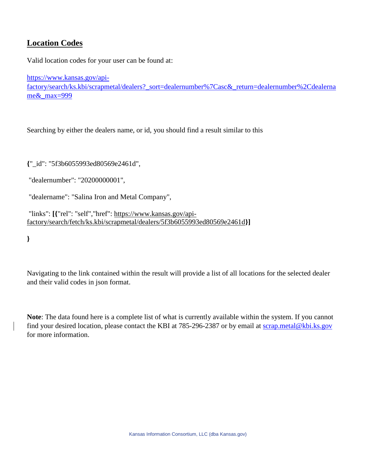### **Location Codes**

Valid location codes for your user can be found at:

[https://www.kansas.gov/api](https://www.kansas.gov/api-factory/search/ks.kbi/scrapmetal/dealers?_sort=dealernumber%7Casc&_return=dealernumber%2Cdealername&_max=999)factory/search/ks.kbi/scrapmetal/dealers? sort=dealernumber%7Casc&return=dealernumber%2Cdealerna [me&\\_max=999](https://www.kansas.gov/api-factory/search/ks.kbi/scrapmetal/dealers?_sort=dealernumber%7Casc&_return=dealernumber%2Cdealername&_max=999)

Searching by either the dealers name, or id, you should find a result similar to this

**{**"\_id": "5f3b6055993ed80569e2461d",

"dealernumber": "20200000001",

"dealername": "Salina Iron and Metal Company",

"links": **[{**"rel": "self","href": [https://www.kansas.gov/api](https://www.kansas.gov/api-factory/search/fetch/ks.kbi/scrapmetal/dealers/5f3b6055993ed80569e2461d)[factory/search/fetch/ks.kbi/scrapmetal/dealers/5f3b6055993ed80569e2461d](https://www.kansas.gov/api-factory/search/fetch/ks.kbi/scrapmetal/dealers/5f3b6055993ed80569e2461d)**}]**

**}**

Navigating to the link contained within the result will provide a list of all locations for the selected dealer and their valid codes in json format.

**Note**: The data found here is a complete list of what is currently available within the system. If you cannot find your desired location, please contact the KBI at 785-296-2387 or by email at [scrap.metal@kbi.ks.gov](mailto:scrap.metal@kbi.ks.gov) for more information.